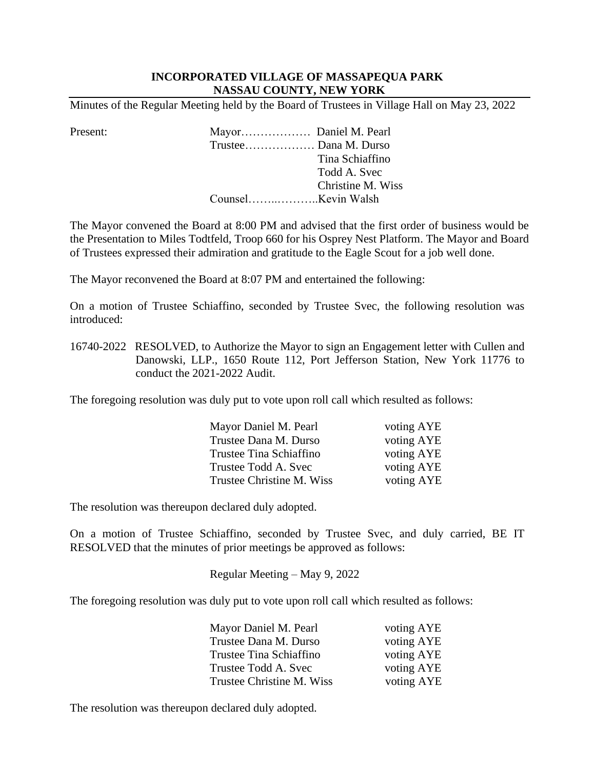## **INCORPORATED VILLAGE OF MASSAPEQUA PARK NASSAU COUNTY, NEW YORK**

Minutes of the Regular Meeting held by the Board of Trustees in Village Hall on May 23, 2022

Present: Mayor……………… Daniel M. Pearl Trustee……………… Dana M. Durso Tina Schiaffino Todd A. Svec Christine M. Wiss Counsel……..………..Kevin Walsh

The Mayor convened the Board at 8:00 PM and advised that the first order of business would be the Presentation to Miles Todtfeld, Troop 660 for his Osprey Nest Platform. The Mayor and Board of Trustees expressed their admiration and gratitude to the Eagle Scout for a job well done.

The Mayor reconvened the Board at 8:07 PM and entertained the following:

 On a motion of Trustee Schiaffino, seconded by Trustee Svec, the following resolution was introduced:

16740-2022 RESOLVED, to Authorize the Mayor to sign an Engagement letter with Cullen and Danowski, LLP., 1650 Route 112, Port Jefferson Station, New York 11776 to conduct the 2021-2022 Audit.

The foregoing resolution was duly put to vote upon roll call which resulted as follows:

| voting AYE |
|------------|
| voting AYE |
| voting AYE |
| voting AYE |
| voting AYE |
|            |

The resolution was thereupon declared duly adopted.

 On a motion of Trustee Schiaffino, seconded by Trustee Svec, and duly carried, BE IT RESOLVED that the minutes of prior meetings be approved as follows:

Regular Meeting – May 9, 2022

The foregoing resolution was duly put to vote upon roll call which resulted as follows:

| Mayor Daniel M. Pearl     | voting AYE |
|---------------------------|------------|
| Trustee Dana M. Durso     | voting AYE |
| Trustee Tina Schiaffino   | voting AYE |
| Trustee Todd A. Svec      | voting AYE |
| Trustee Christine M. Wiss | voting AYE |

The resolution was thereupon declared duly adopted.